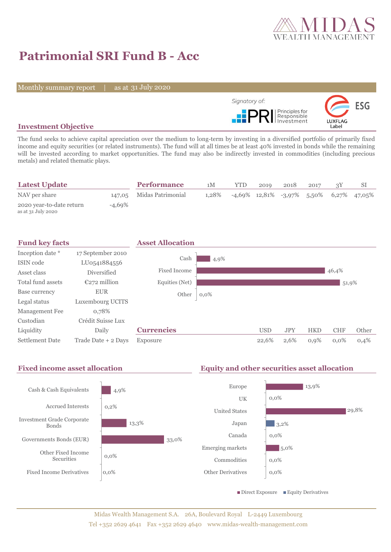

# **Patrimonial SRI Fund B - Acc**

Monthly summary report | as at 31 July 2020



## **Investment Objective**

The fund seeks to achieve capital apreciation over the medium to long-term by investing in a diversified portfolio of primarily fixed income and equity securities (or related instruments). The fund will at all times be at least 40% invested in bonds while the remaining will be invested according to market opportunities. The fund may also be indirectly invested in commodities (including precious metals) and related thematic plays.

| <b>Latest Update</b>                           |           | <b>Performance</b>       | 1M    | <b>YTD</b>                                    | 2019 | 2018 | 2017 |  |
|------------------------------------------------|-----------|--------------------------|-------|-----------------------------------------------|------|------|------|--|
| NAV per share                                  |           | 147,05 Midas Patrimonial | 1.28% | $-4,69\%$ 12,81% $-3,97\%$ 5,50% 6,27% 47,05% |      |      |      |  |
| 2020 year-to-date return<br>as at 31 July 2020 | $-4.69\%$ |                          |       |                                               |      |      |      |  |



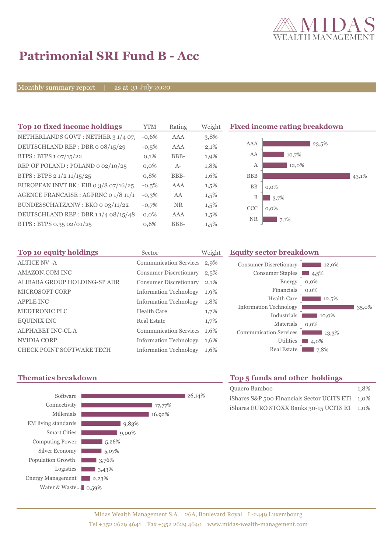

# **Patrimonial SRI Fund B - Acc**

Monthly summary report | as at 31 July 2020

| Top 10 fixed income holdings          | <b>YTM</b> | Rating    | Weigh   |
|---------------------------------------|------------|-----------|---------|
| NETHERLANDS GOVT: NETHER 3 1/4 07/    | $-0.6%$    | AAA       | 3,8%    |
| DEUTSCHLAND REP: DBR o 08/15/29       | $-0.5%$    | AAA       | 2,1%    |
| BTPS: BTPS 1 07/15/22                 | 0,1%       | BBB-      | 1,9%    |
| REP OF POLAND: POLAND 0 02/10/25      | $0.0\%$    | $A-$      | 1,8%    |
| BTPS: BTPS 2 1/2 11/15/25             | 0,8%       | BBB-      | 1,6%    |
| EUROPEAN INVT BK : EIB o 3/8 07/16/25 | $-0.5%$    | AAA       | $1,5\%$ |
| AGENCE FRANCAISE : AGFRNC 0 1/8 11/1! | $-0.3%$    | AA        | 1,5%    |
| BUNDESSCHATZANW: BKO 0 03/11/22       | $-0.7%$    | <b>NR</b> | $1,5\%$ |
| DEUTSCHLAND REP: DBR 11/4 08/15/48    | $0.0\%$    | AAA       | $1,5\%$ |
| BTPS: BTPS 0.35 02/01/25              | 0,6%       | BBB-      | $1,5\%$ |
|                                       |            |           |         |

**The 10 fixed income rating breakdown** 



| Top 10 equity holdings           | Sector                        | Weigh   |
|----------------------------------|-------------------------------|---------|
| <b>ALTICE NV-A</b>               | <b>Communication Services</b> | 2,9%    |
| <b>AMAZON.COM INC</b>            | <b>Consumer Discretionary</b> | 2,5%    |
| ALIBABA GROUP HOLDING-SP ADR     | <b>Consumer Discretionary</b> | 2,1%    |
| <b>MICROSOFT CORP</b>            | <b>Information Technology</b> | $1,9\%$ |
| <b>APPLE INC</b>                 | <b>Information Technology</b> | 1,8%    |
| <b>MEDTRONIC PLC</b>             | <b>Health Care</b>            | $1,7\%$ |
| <b>EQUINIX INC</b>               | Real Estate                   | $1,7\%$ |
| <b>ALPHABET INC-CL A</b>         | <b>Communication Services</b> | 1,6%    |
| NVIDIA CORP                      | <b>Information Technology</b> | 1,6%    |
| <b>CHECK POINT SOFTWARE TECH</b> | <b>Information Technology</b> | 1,6%    |

### **Top 10 Equity sector breakdown**

| 12,9%<br>4,5%<br>$0,0\%$<br>$0.0\%$ |
|-------------------------------------|
| 12,5%<br>35,0%<br>10,0%             |
| $0.0\%$<br>13,3%<br>4,0%<br>7,8%    |
|                                     |



# **Thematics breakdown Top 5 funds and other holdings**

| Quaero Bamboo                                    | 1.8% |
|--------------------------------------------------|------|
| iShares S&P 500 Financials Sector UCITS ETI 1,0% |      |
| iShares EURO STOXX Banks 30-15 UCITS ET 1,0%     |      |